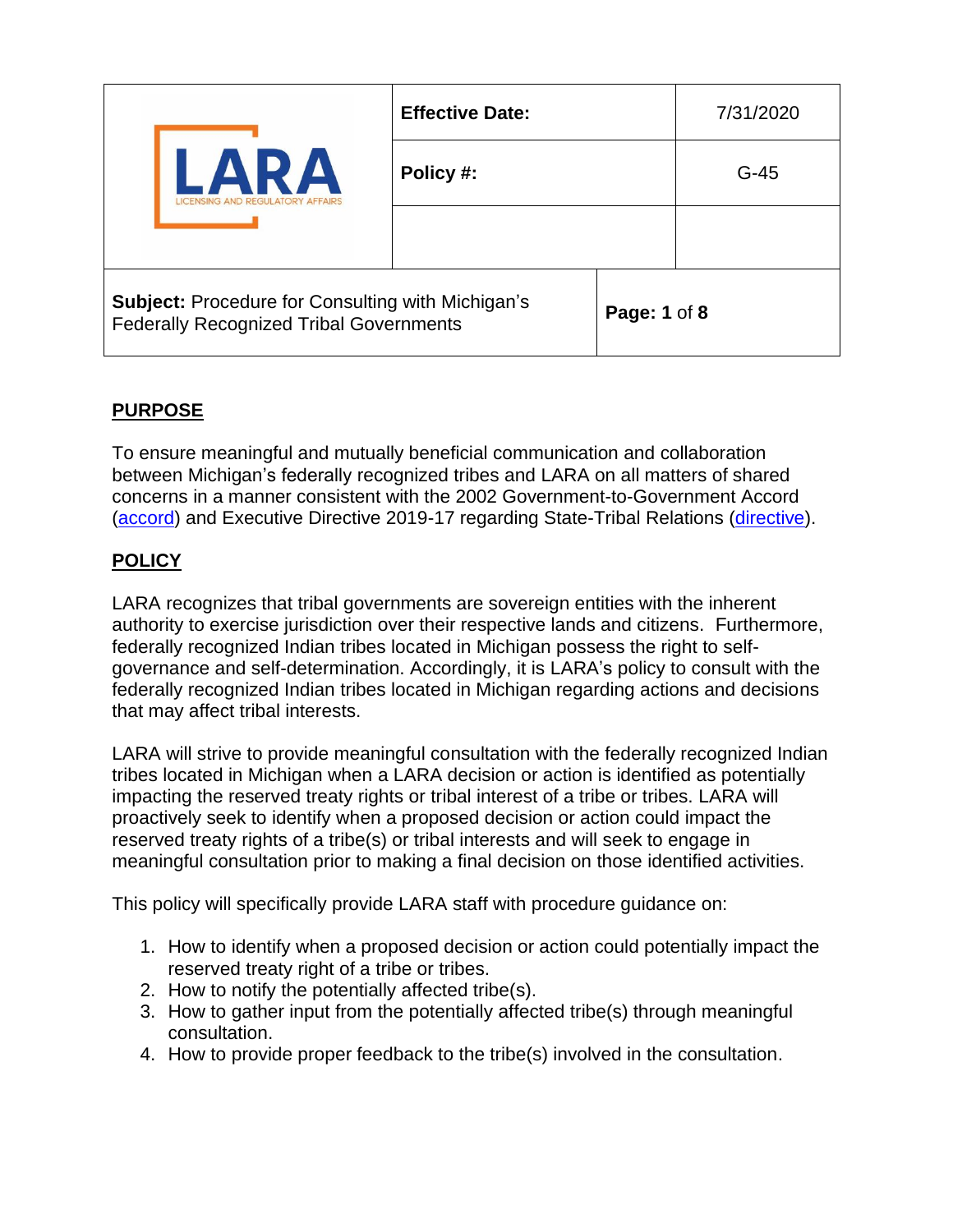| <b>ARA</b><br><b>NSING AND REGULATORY AFFAIRS</b>                                                          | <b>Effective Date:</b> |              | 7/31/2020 |
|------------------------------------------------------------------------------------------------------------|------------------------|--------------|-----------|
|                                                                                                            | Policy #:              |              | $G-45$    |
|                                                                                                            |                        |              |           |
| <b>Subject: Procedure for Consulting with Michigan's</b><br><b>Federally Recognized Tribal Governments</b> |                        | Page: 1 of 8 |           |

# **PURPOSE**

To ensure meaningful and mutually beneficial communication and collaboration between Michigan's federally recognized tribes and LARA on all matters of shared concerns in a manner consistent with the 2002 Government-to-Government Accord [\(accord\)](https://www.michigan.gov/documents/Accordfinal_53478_7.pdf) and Executive Directive 2019-17 regarding State-Tribal Relations [\(directive\)](https://content.govdelivery.com/attachments/MIEOG/2019/10/31/file_attachments/1315447/Executive%20Directive%202019-17.pdf).

## **POLICY**

LARA recognizes that tribal governments are sovereign entities with the inherent authority to exercise jurisdiction over their respective lands and citizens. Furthermore, federally recognized Indian tribes located in Michigan possess the right to selfgovernance and self-determination. Accordingly, it is LARA's policy to consult with the federally recognized Indian tribes located in Michigan regarding actions and decisions that may affect tribal interests.

LARA will strive to provide meaningful consultation with the federally recognized Indian tribes located in Michigan when a LARA decision or action is identified as potentially impacting the reserved treaty rights or tribal interest of a tribe or tribes. LARA will proactively seek to identify when a proposed decision or action could impact the reserved treaty rights of a tribe(s) or tribal interests and will seek to engage in meaningful consultation prior to making a final decision on those identified activities.

This policy will specifically provide LARA staff with procedure guidance on:

- 1. How to identify when a proposed decision or action could potentially impact the reserved treaty right of a tribe or tribes.
- 2. How to notify the potentially affected tribe(s).
- 3. How to gather input from the potentially affected tribe(s) through meaningful consultation.
- 4. How to provide proper feedback to the tribe(s) involved in the consultation.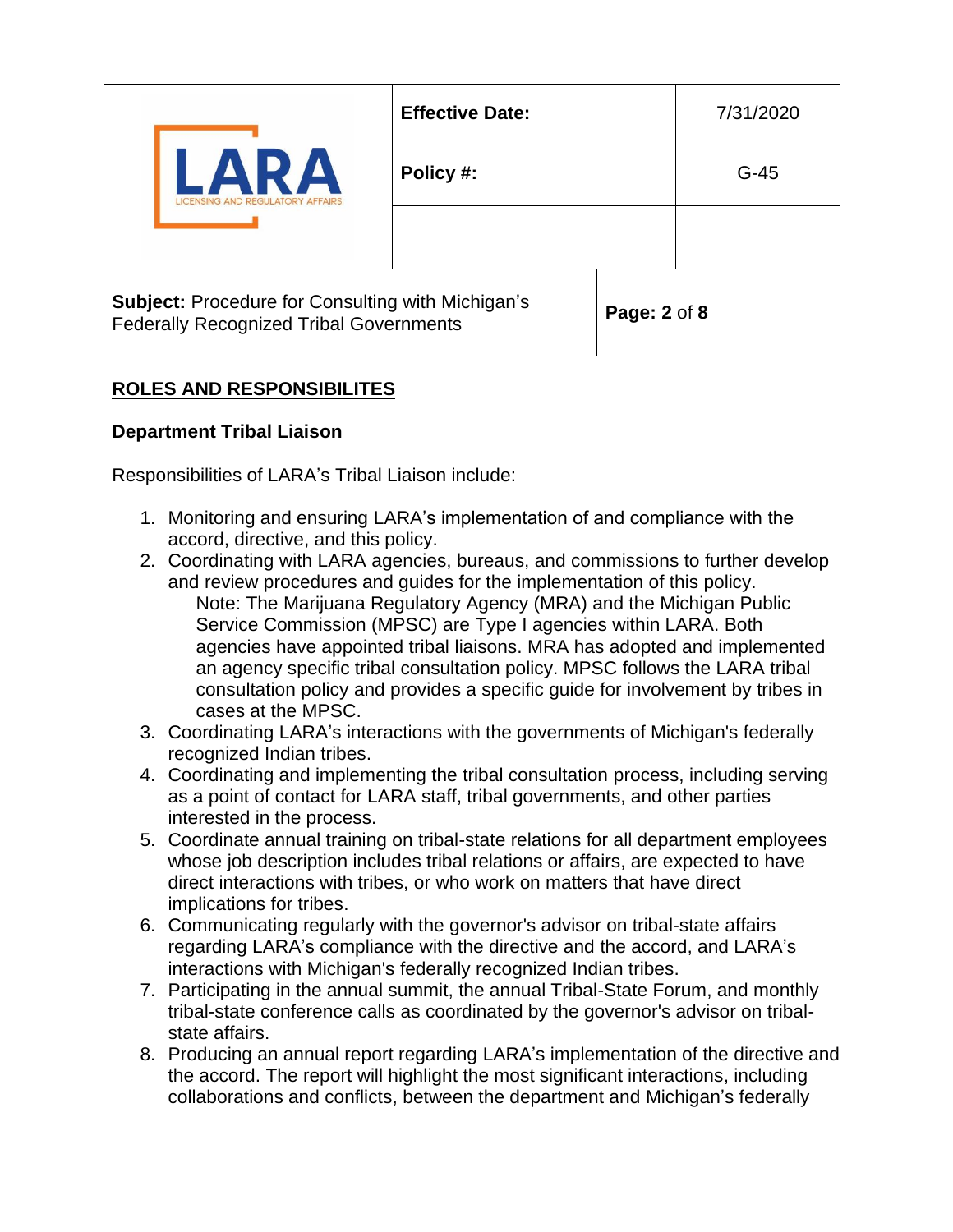| <b>ARA</b><br><b>ISING AND REGULATORY AFFAIRS</b>                                                          | <b>Effective Date:</b> |              | 7/31/2020 |
|------------------------------------------------------------------------------------------------------------|------------------------|--------------|-----------|
|                                                                                                            | Policy #:              |              | $G-45$    |
|                                                                                                            |                        |              |           |
| <b>Subject: Procedure for Consulting with Michigan's</b><br><b>Federally Recognized Tribal Governments</b> |                        | Page: 2 of 8 |           |

# **ROLES AND RESPONSIBILITES**

### **Department Tribal Liaison**

Responsibilities of LARA's Tribal Liaison include:

- 1. Monitoring and ensuring LARA's implementation of and compliance with the accord, directive, and this policy.
- 2. Coordinating with LARA agencies, bureaus, and commissions to further develop and review procedures and guides for the implementation of this policy. Note: The Marijuana Regulatory Agency (MRA) and the Michigan Public Service Commission (MPSC) are Type I agencies within LARA. Both agencies have appointed tribal liaisons. MRA has adopted and implemented an agency specific tribal consultation policy. MPSC follows the LARA tribal consultation policy and provides a specific guide for involvement by tribes in cases at the MPSC.
- 3. Coordinating LARA's interactions with the governments of Michigan's federally recognized Indian tribes.
- 4. Coordinating and implementing the tribal consultation process, including serving as a point of contact for LARA staff, tribal governments, and other parties interested in the process.
- 5. Coordinate annual training on tribal-state relations for all department employees whose job description includes tribal relations or affairs, are expected to have direct interactions with tribes, or who work on matters that have direct implications for tribes.
- 6. Communicating regularly with the governor's advisor on tribal-state affairs regarding LARA's compliance with the directive and the accord, and LARA's interactions with Michigan's federally recognized Indian tribes.
- 7. Participating in the annual summit, the annual Tribal-State Forum, and monthly tribal-state conference calls as coordinated by the governor's advisor on tribalstate affairs.
- 8. Producing an annual report regarding LARA's implementation of the directive and the accord. The report will highlight the most significant interactions, including collaborations and conflicts, between the department and Michigan's federally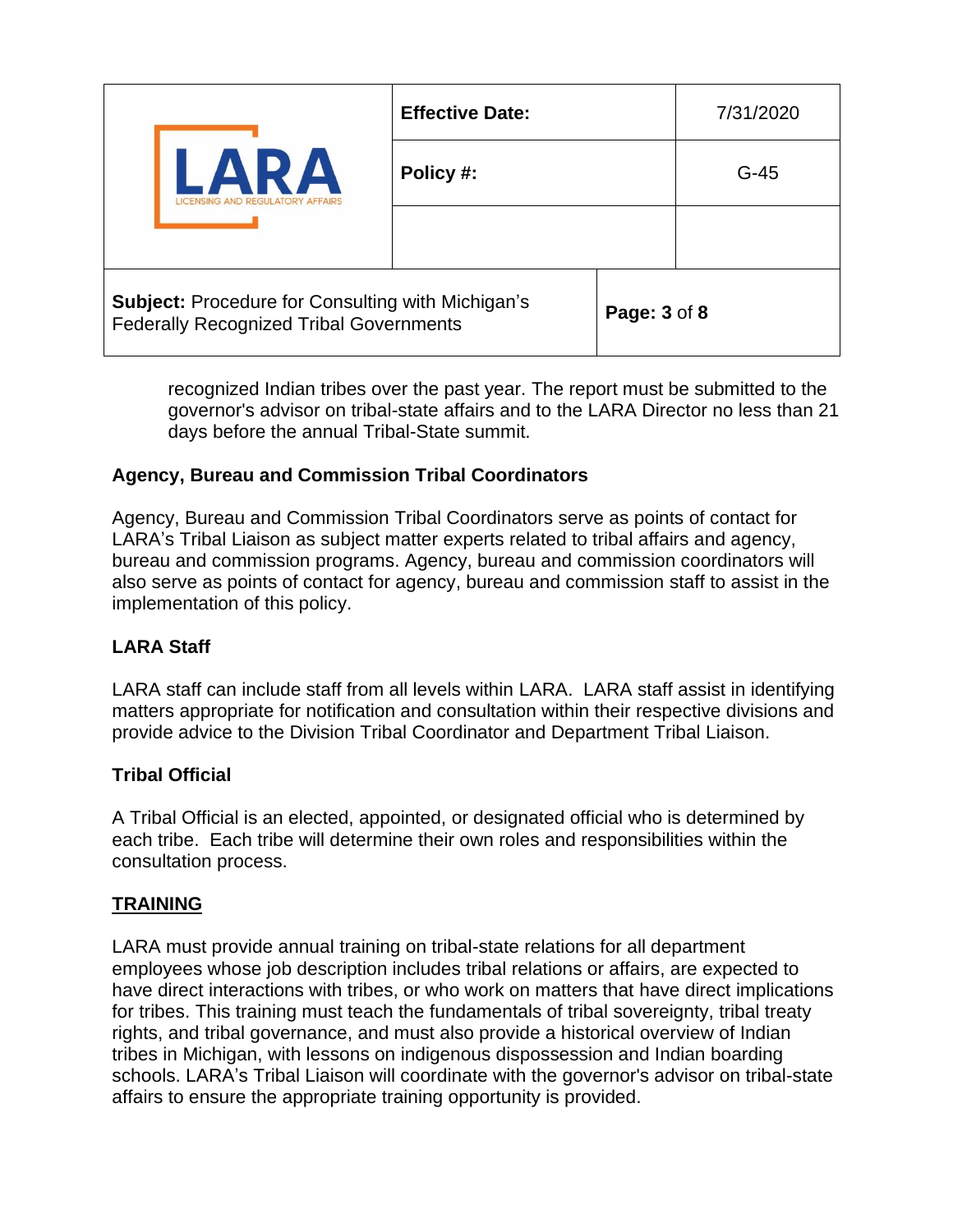| NR A                                                                                                       | <b>Effective Date:</b> |                     | 7/31/2020 |
|------------------------------------------------------------------------------------------------------------|------------------------|---------------------|-----------|
|                                                                                                            | Policy #:              |                     | $G-45$    |
|                                                                                                            |                        |                     |           |
| <b>Subject: Procedure for Consulting with Michigan's</b><br><b>Federally Recognized Tribal Governments</b> |                        | <b>Page: 3 of 8</b> |           |

recognized Indian tribes over the past year. The report must be submitted to the governor's advisor on tribal-state affairs and to the LARA Director no less than 21 days before the annual Tribal-State summit.

### **Agency, Bureau and Commission Tribal Coordinators**

Agency, Bureau and Commission Tribal Coordinators serve as points of contact for LARA's Tribal Liaison as subject matter experts related to tribal affairs and agency, bureau and commission programs. Agency, bureau and commission coordinators will also serve as points of contact for agency, bureau and commission staff to assist in the implementation of this policy.

# **LARA Staff**

LARA staff can include staff from all levels within LARA. LARA staff assist in identifying matters appropriate for notification and consultation within their respective divisions and provide advice to the Division Tribal Coordinator and Department Tribal Liaison.

### **Tribal Official**

A Tribal Official is an elected, appointed, or designated official who is determined by each tribe. Each tribe will determine their own roles and responsibilities within the consultation process.

# **TRAINING**

LARA must provide annual training on tribal-state relations for all department employees whose job description includes tribal relations or affairs, are expected to have direct interactions with tribes, or who work on matters that have direct implications for tribes. This training must teach the fundamentals of tribal sovereignty, tribal treaty rights, and tribal governance, and must also provide a historical overview of Indian tribes in Michigan, with lessons on indigenous dispossession and Indian boarding schools. LARA's Tribal Liaison will coordinate with the governor's advisor on tribal-state affairs to ensure the appropriate training opportunity is provided.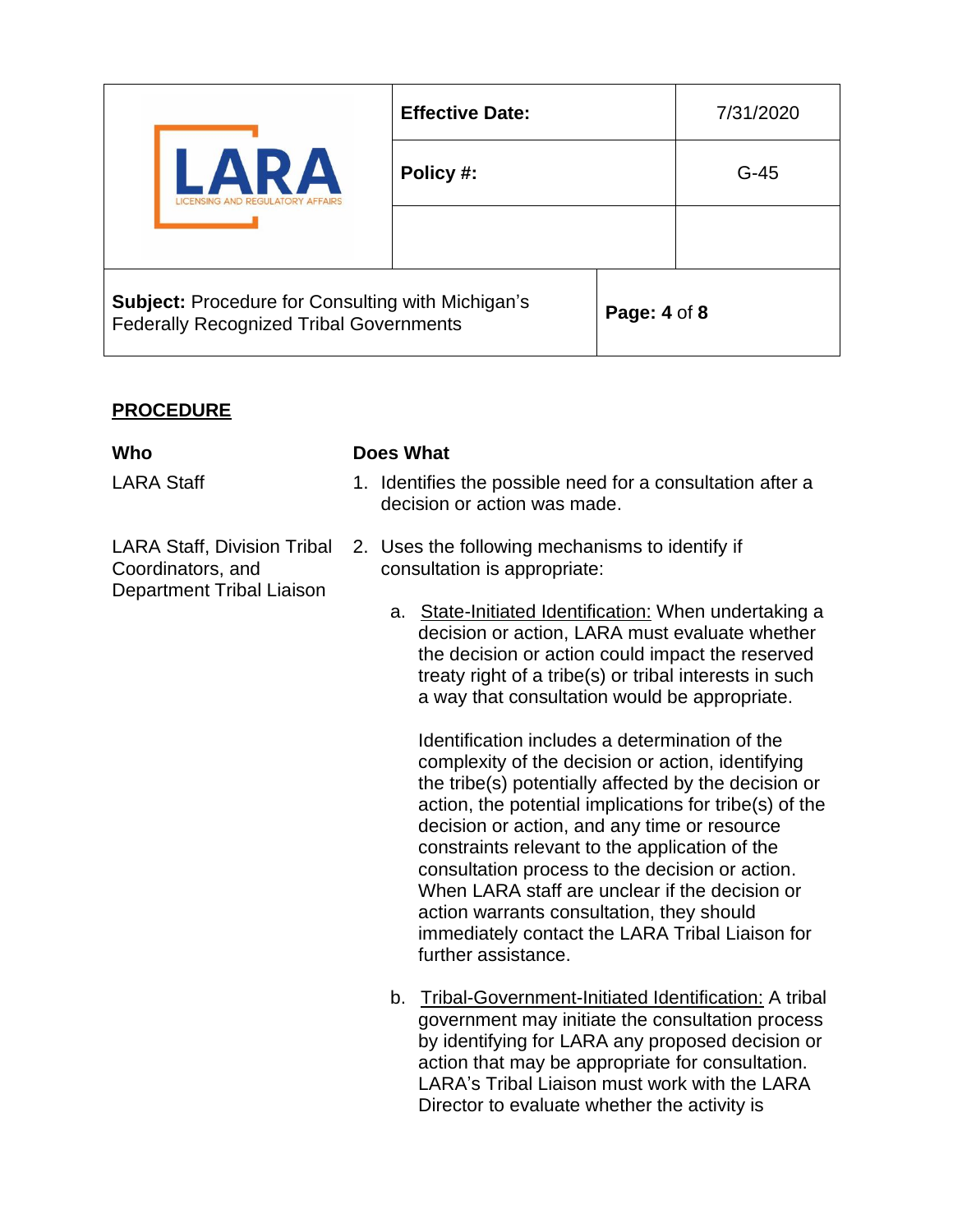| <b>ARA</b><br>NSING AND REGULATORY AFFAIRS                                                                 | <b>Effective Date:</b> |              | 7/31/2020 |
|------------------------------------------------------------------------------------------------------------|------------------------|--------------|-----------|
|                                                                                                            | Policy #:              |              | $G-45$    |
|                                                                                                            |                        |              |           |
| <b>Subject: Procedure for Consulting with Michigan's</b><br><b>Federally Recognized Tribal Governments</b> |                        | Page: 4 of 8 |           |

## **PROCEDURE**

LARA Staff, Division Tribal Coordinators, and Department Tribal Liaison

#### **Who Does What**

- LARA Staff 1. Identifies the possible need for a consultation after a decision or action was made.
	- 2. Uses the following mechanisms to identify if consultation is appropriate:
		- a. State-Initiated Identification: When undertaking a decision or action, LARA must evaluate whether the decision or action could impact the reserved treaty right of a tribe(s) or tribal interests in such a way that consultation would be appropriate.

Identification includes a determination of the complexity of the decision or action, identifying the tribe(s) potentially affected by the decision or action, the potential implications for tribe(s) of the decision or action, and any time or resource constraints relevant to the application of the consultation process to the decision or action. When LARA staff are unclear if the decision or action warrants consultation, they should immediately contact the LARA Tribal Liaison for further assistance.

b. Tribal-Government-Initiated Identification: A tribal government may initiate the consultation process by identifying for LARA any proposed decision or action that may be appropriate for consultation. LARA's Tribal Liaison must work with the LARA Director to evaluate whether the activity is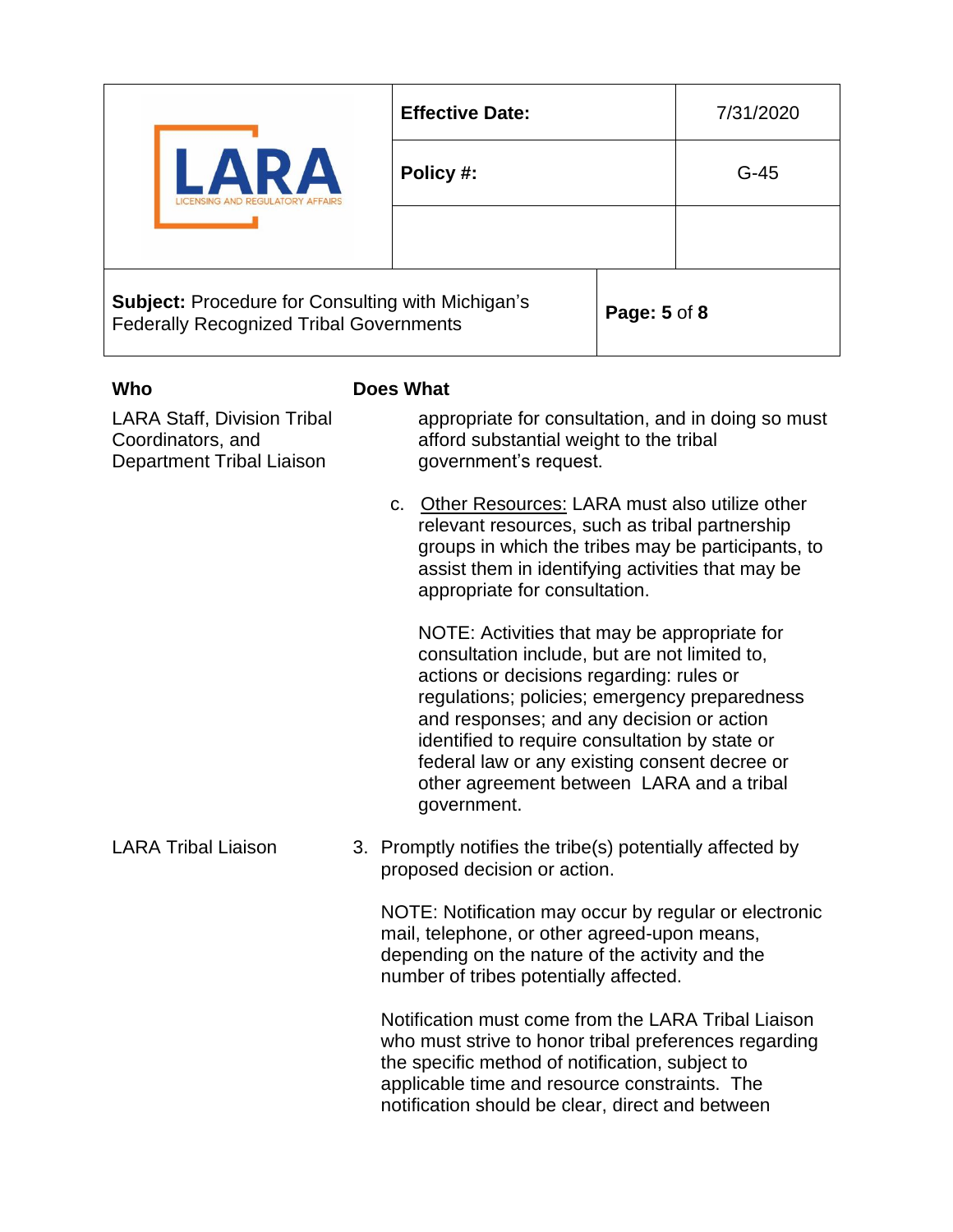|                                                                                                            | <b>Effective Date:</b>                                                                                                 |                     | 7/31/2020 |
|------------------------------------------------------------------------------------------------------------|------------------------------------------------------------------------------------------------------------------------|---------------------|-----------|
|                                                                                                            | Policy #:                                                                                                              |                     | $G-45$    |
|                                                                                                            |                                                                                                                        |                     |           |
| <b>Subject: Procedure for Consulting with Michigan's</b><br><b>Federally Recognized Tribal Governments</b> |                                                                                                                        | <b>Page: 5 of 8</b> |           |
| Who                                                                                                        | Does What                                                                                                              |                     |           |
| <b>LARA Staff, Division Tribal</b><br>Coordinators, and<br>Department Tribal Liaison                       | appropriate for consultation, and in doing so must<br>afford substantial weight to the tribal<br>government's request. |                     |           |

c. Other Resources: LARA must also utilize other relevant resources, such as tribal partnership groups in which the tribes may be participants, to assist them in identifying activities that may be appropriate for consultation.

NOTE: Activities that may be appropriate for consultation include, but are not limited to, actions or decisions regarding: rules or regulations; policies; emergency preparedness and responses; and any decision or action identified to require consultation by state or federal law or any existing consent decree or other agreement between LARA and a tribal government.

LARA Tribal Liaison 3. Promptly notifies the tribe(s) potentially affected by proposed decision or action.

> NOTE: Notification may occur by regular or electronic mail, telephone, or other agreed-upon means, depending on the nature of the activity and the number of tribes potentially affected.

> Notification must come from the LARA Tribal Liaison who must strive to honor tribal preferences regarding the specific method of notification, subject to applicable time and resource constraints. The notification should be clear, direct and between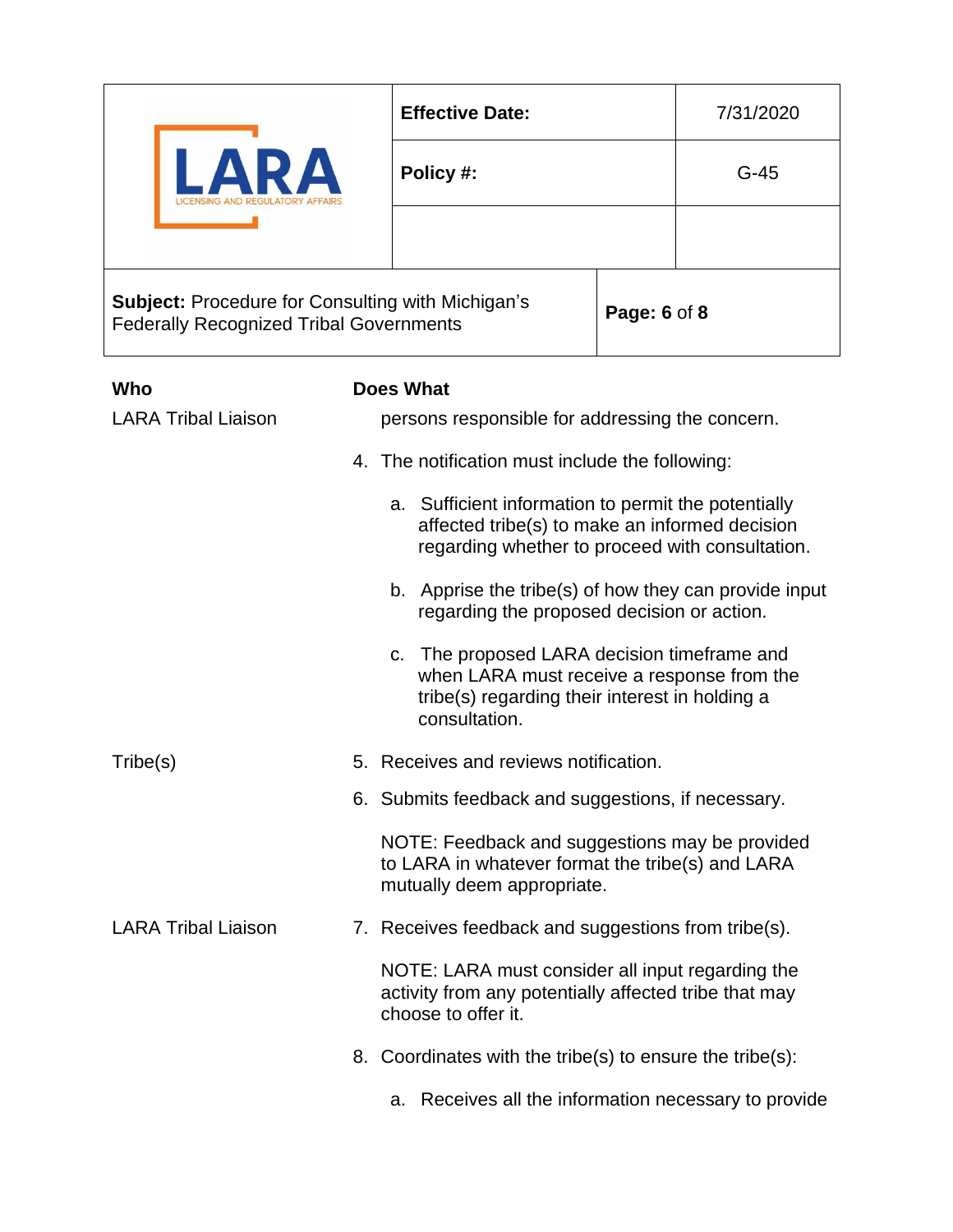| $\mathbf{A}$<br>VD)<br><b>REGULATORY AFFAIRS</b>                                                                           | <b>Effective Date:</b> |  | 7/31/2020 |
|----------------------------------------------------------------------------------------------------------------------------|------------------------|--|-----------|
|                                                                                                                            | Policy #:              |  | $G-45$    |
|                                                                                                                            |                        |  |           |
| <b>Subject: Procedure for Consulting with Michigan's</b><br>Page: 6 of 8<br><b>Federally Recognized Tribal Governments</b> |                        |  |           |

| Who                        | <b>Does What</b>                                                                                                                                                |
|----------------------------|-----------------------------------------------------------------------------------------------------------------------------------------------------------------|
| <b>LARA Tribal Liaison</b> | persons responsible for addressing the concern.                                                                                                                 |
|                            | 4. The notification must include the following:                                                                                                                 |
|                            | a. Sufficient information to permit the potentially<br>affected tribe(s) to make an informed decision<br>regarding whether to proceed with consultation.        |
|                            | b. Apprise the tribe(s) of how they can provide input<br>regarding the proposed decision or action.                                                             |
|                            | The proposed LARA decision timeframe and<br>C.<br>when LARA must receive a response from the<br>tribe(s) regarding their interest in holding a<br>consultation. |
| Tribe(s)                   | 5. Receives and reviews notification.                                                                                                                           |
|                            | 6. Submits feedback and suggestions, if necessary.                                                                                                              |
|                            | NOTE: Feedback and suggestions may be provided<br>to LARA in whatever format the tribe(s) and LARA<br>mutually deem appropriate.                                |
| <b>LARA Tribal Liaison</b> | 7. Receives feedback and suggestions from tribe(s).                                                                                                             |
|                            | NOTE: LARA must consider all input regarding the<br>activity from any potentially affected tribe that may<br>choose to offer it.                                |
|                            | 8. Coordinates with the tribe(s) to ensure the tribe(s):                                                                                                        |
|                            | a. Receives all the information necessary to provide                                                                                                            |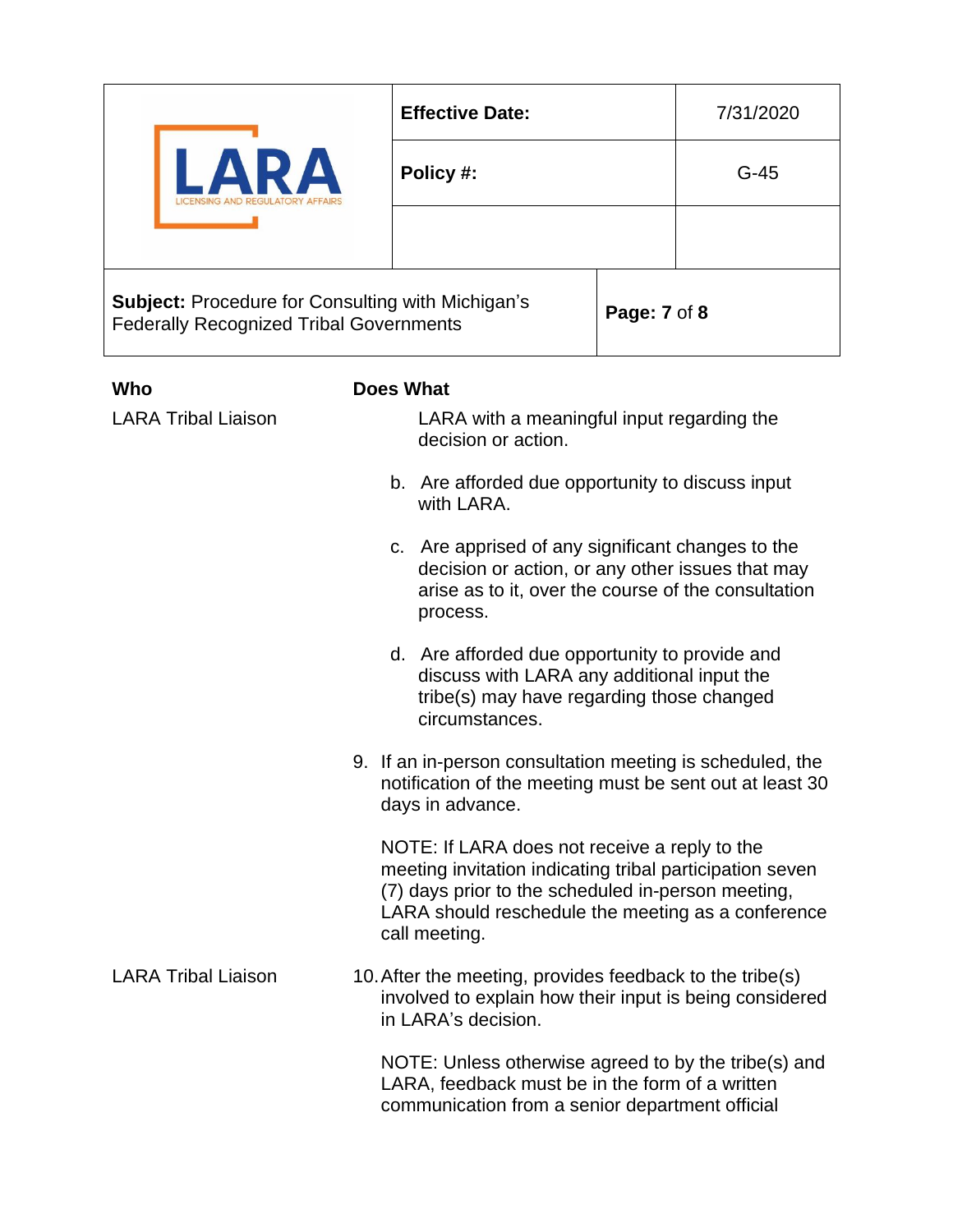|                                                                                                            | <b>Effective Date:</b>                                                         |              | 7/31/2020 |
|------------------------------------------------------------------------------------------------------------|--------------------------------------------------------------------------------|--------------|-----------|
|                                                                                                            | Policy #:                                                                      |              | $G-45$    |
|                                                                                                            |                                                                                |              |           |
| <b>Subject: Procedure for Consulting with Michigan's</b><br><b>Federally Recognized Tribal Governments</b> |                                                                                | Page: 7 of 8 |           |
| Who<br><b>LARA Tribal Liaison</b>                                                                          | Does What<br>LARA with a meaningful input regarding the<br>decision or action. |              |           |

- b. Are afforded due opportunity to discuss input with LARA.
- c. Are apprised of any significant changes to the decision or action, or any other issues that may arise as to it, over the course of the consultation process.
- d. Are afforded due opportunity to provide and discuss with LARA any additional input the tribe(s) may have regarding those changed circumstances.
- 9. If an in-person consultation meeting is scheduled, the notification of the meeting must be sent out at least 30 days in advance.

NOTE: If LARA does not receive a reply to the meeting invitation indicating tribal participation seven (7) days prior to the scheduled in-person meeting, LARA should reschedule the meeting as a conference call meeting.

LARA Tribal Liaison 10. After the meeting, provides feedback to the tribe(s) involved to explain how their input is being considered in LARA's decision.

> NOTE: Unless otherwise agreed to by the tribe(s) and LARA, feedback must be in the form of a written communication from a senior department official